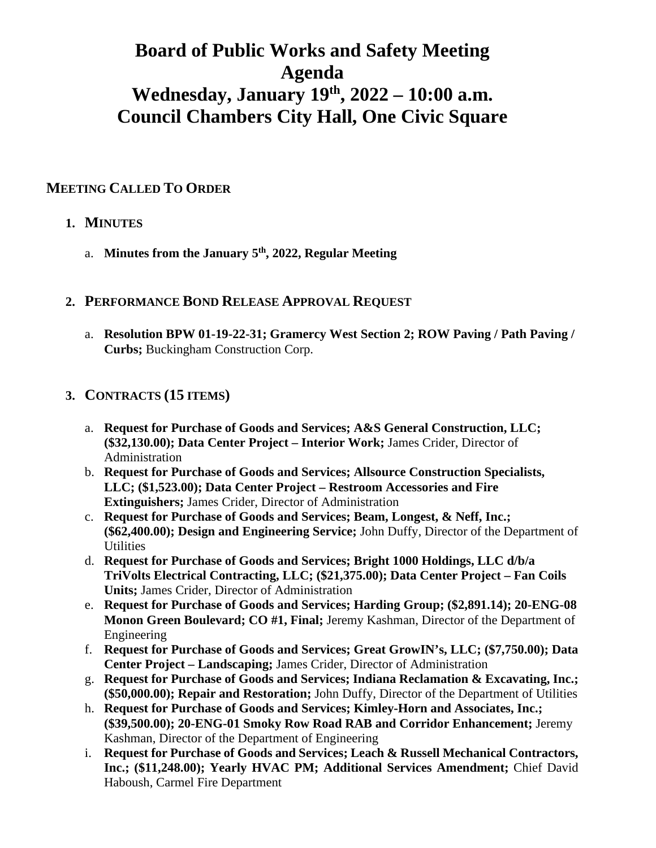# **Board of Public Works and Safety Meeting Agenda Wednesday, January 19th, 2022 – 10:00 a.m. Council Chambers City Hall, One Civic Square**

## **MEETING CALLED TO ORDER**

## **1. MINUTES**

- a. **Minutes from the January 5th, 2022, Regular Meeting**
- **2. PERFORMANCE BOND RELEASE APPROVAL REQUEST**
	- a. **Resolution BPW 01-19-22-31; Gramercy West Section 2; ROW Paving / Path Paving / Curbs;** Buckingham Construction Corp.

#### **3. CONTRACTS (15 ITEMS)**

- a. **Request for Purchase of Goods and Services; A&S General Construction, LLC; (\$32,130.00); Data Center Project – Interior Work;** James Crider, Director of Administration
- b. **Request for Purchase of Goods and Services; Allsource Construction Specialists, LLC; (\$1,523.00); Data Center Project – Restroom Accessories and Fire Extinguishers;** James Crider, Director of Administration
- c. **Request for Purchase of Goods and Services; Beam, Longest, & Neff, Inc.; (\$62,400.00); Design and Engineering Service;** John Duffy, Director of the Department of **Utilities**
- d. **Request for Purchase of Goods and Services; Bright 1000 Holdings, LLC d/b/a TriVolts Electrical Contracting, LLC; (\$21,375.00); Data Center Project – Fan Coils Units;** James Crider, Director of Administration
- e. **Request for Purchase of Goods and Services; Harding Group; (\$2,891.14); 20-ENG-08 Monon Green Boulevard; CO #1, Final;** Jeremy Kashman, Director of the Department of Engineering
- f. **Request for Purchase of Goods and Services; Great GrowIN's, LLC; (\$7,750.00); Data Center Project – Landscaping;** James Crider, Director of Administration
- g. **Request for Purchase of Goods and Services; Indiana Reclamation & Excavating, Inc.; (\$50,000.00); Repair and Restoration;** John Duffy, Director of the Department of Utilities
- h. **Request for Purchase of Goods and Services; Kimley-Horn and Associates, Inc.; (\$39,500.00); 20-ENG-01 Smoky Row Road RAB and Corridor Enhancement;** Jeremy Kashman, Director of the Department of Engineering
- i. **Request for Purchase of Goods and Services; Leach & Russell Mechanical Contractors, Inc.; (\$11,248.00); Yearly HVAC PM; Additional Services Amendment;** Chief David Haboush, Carmel Fire Department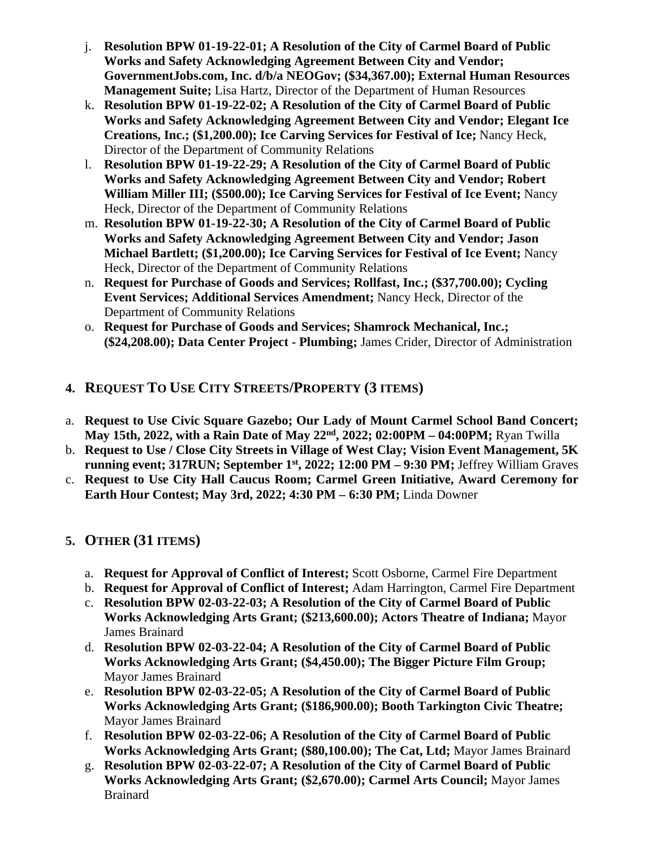- j. **Resolution BPW 01-19-22-01; A Resolution of the City of Carmel Board of Public Works and Safety Acknowledging Agreement Between City and Vendor; GovernmentJobs.com, Inc. d/b/a NEOGov; (\$34,367.00); External Human Resources Management Suite;** Lisa Hartz, Director of the Department of Human Resources
- k. **Resolution BPW 01-19-22-02; A Resolution of the City of Carmel Board of Public Works and Safety Acknowledging Agreement Between City and Vendor; Elegant Ice Creations, Inc.; (\$1,200.00); Ice Carving Services for Festival of Ice;** Nancy Heck, Director of the Department of Community Relations
- l. **Resolution BPW 01-19-22-29; A Resolution of the City of Carmel Board of Public Works and Safety Acknowledging Agreement Between City and Vendor; Robert William Miller III; (\$500.00); Ice Carving Services for Festival of Ice Event;** Nancy Heck, Director of the Department of Community Relations
- m. **Resolution BPW 01-19-22-30; A Resolution of the City of Carmel Board of Public Works and Safety Acknowledging Agreement Between City and Vendor; Jason Michael Bartlett; (\$1,200.00); Ice Carving Services for Festival of Ice Event;** Nancy Heck, Director of the Department of Community Relations
- n. **Request for Purchase of Goods and Services; Rollfast, Inc.; (\$37,700.00); Cycling Event Services; Additional Services Amendment;** Nancy Heck, Director of the Department of Community Relations
- o. **Request for Purchase of Goods and Services; Shamrock Mechanical, Inc.; (\$24,208.00); Data Center Project - Plumbing;** James Crider, Director of Administration
- **4. REQUEST TO USE CITY STREETS/PROPERTY (3 ITEMS)**
- a. **Request to Use Civic Square Gazebo; Our Lady of Mount Carmel School Band Concert; May 15th, 2022, with a Rain Date of May 22nd, 2022; 02:00PM – 04:00PM;** Ryan Twilla
- b. **Request to Use / Close City Streets in Village of West Clay; Vision Event Management, 5K running event; 317RUN; September 1st, 2022; 12:00 PM – 9:30 PM;** Jeffrey William Graves
- c. **Request to Use City Hall Caucus Room; Carmel Green Initiative, Award Ceremony for Earth Hour Contest; May 3rd, 2022; 4:30 PM – 6:30 PM;** Linda Downer

# **5. OTHER (31 ITEMS)**

- a. **Request for Approval of Conflict of Interest;** Scott Osborne, Carmel Fire Department
- b. **Request for Approval of Conflict of Interest;** Adam Harrington, Carmel Fire Department
- c. **Resolution BPW 02-03-22-03; A Resolution of the City of Carmel Board of Public Works Acknowledging Arts Grant; (\$213,600.00); Actors Theatre of Indiana;** Mayor James Brainard
- d. **Resolution BPW 02-03-22-04; A Resolution of the City of Carmel Board of Public Works Acknowledging Arts Grant; (\$4,450.00); The Bigger Picture Film Group;**  Mayor James Brainard
- e. **Resolution BPW 02-03-22-05; A Resolution of the City of Carmel Board of Public Works Acknowledging Arts Grant; (\$186,900.00); Booth Tarkington Civic Theatre;**  Mayor James Brainard
- f. **Resolution BPW 02-03-22-06; A Resolution of the City of Carmel Board of Public Works Acknowledging Arts Grant; (\$80,100.00); The Cat, Ltd;** Mayor James Brainard
- g. **Resolution BPW 02-03-22-07; A Resolution of the City of Carmel Board of Public Works Acknowledging Arts Grant; (\$2,670.00); Carmel Arts Council;** Mayor James Brainard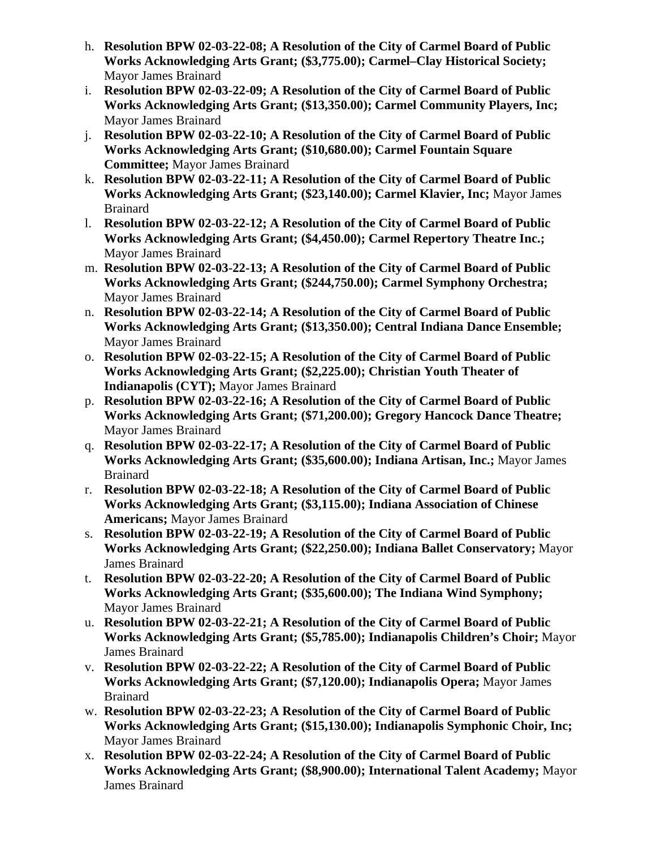- h. **Resolution BPW 02-03-22-08; A Resolution of the City of Carmel Board of Public Works Acknowledging Arts Grant; (\$3,775.00); Carmel–Clay Historical Society;**  Mayor James Brainard
- i. **Resolution BPW 02-03-22-09; A Resolution of the City of Carmel Board of Public Works Acknowledging Arts Grant; (\$13,350.00); Carmel Community Players, Inc;**  Mayor James Brainard
- j. **Resolution BPW 02-03-22-10; A Resolution of the City of Carmel Board of Public Works Acknowledging Arts Grant; (\$10,680.00); Carmel Fountain Square Committee;** Mayor James Brainard
- k. **Resolution BPW 02-03-22-11; A Resolution of the City of Carmel Board of Public Works Acknowledging Arts Grant; (\$23,140.00); Carmel Klavier, Inc;** Mayor James Brainard
- l. **Resolution BPW 02-03-22-12; A Resolution of the City of Carmel Board of Public Works Acknowledging Arts Grant; (\$4,450.00); Carmel Repertory Theatre Inc.;**  Mayor James Brainard
- m. **Resolution BPW 02-03-22-13; A Resolution of the City of Carmel Board of Public Works Acknowledging Arts Grant; (\$244,750.00); Carmel Symphony Orchestra;**  Mayor James Brainard
- n. **Resolution BPW 02-03-22-14; A Resolution of the City of Carmel Board of Public Works Acknowledging Arts Grant; (\$13,350.00); Central Indiana Dance Ensemble;**  Mayor James Brainard
- o. **Resolution BPW 02-03-22-15; A Resolution of the City of Carmel Board of Public Works Acknowledging Arts Grant; (\$2,225.00); Christian Youth Theater of Indianapolis (CYT);** Mayor James Brainard
- p. **Resolution BPW 02-03-22-16; A Resolution of the City of Carmel Board of Public Works Acknowledging Arts Grant; (\$71,200.00); Gregory Hancock Dance Theatre;**  Mayor James Brainard
- q. **Resolution BPW 02-03-22-17; A Resolution of the City of Carmel Board of Public Works Acknowledging Arts Grant; (\$35,600.00); Indiana Artisan, Inc.;** Mayor James Brainard
- r. **Resolution BPW 02-03-22-18; A Resolution of the City of Carmel Board of Public Works Acknowledging Arts Grant; (\$3,115.00); Indiana Association of Chinese Americans;** Mayor James Brainard
- s. **Resolution BPW 02-03-22-19; A Resolution of the City of Carmel Board of Public Works Acknowledging Arts Grant; (\$22,250.00); Indiana Ballet Conservatory;** Mayor James Brainard
- t. **Resolution BPW 02-03-22-20; A Resolution of the City of Carmel Board of Public Works Acknowledging Arts Grant; (\$35,600.00); The Indiana Wind Symphony;**  Mayor James Brainard
- u. **Resolution BPW 02-03-22-21; A Resolution of the City of Carmel Board of Public Works Acknowledging Arts Grant; (\$5,785.00); Indianapolis Children's Choir;** Mayor James Brainard
- v. **Resolution BPW 02-03-22-22; A Resolution of the City of Carmel Board of Public Works Acknowledging Arts Grant; (\$7,120.00); Indianapolis Opera;** Mayor James Brainard
- w. **Resolution BPW 02-03-22-23; A Resolution of the City of Carmel Board of Public Works Acknowledging Arts Grant; (\$15,130.00); Indianapolis Symphonic Choir, Inc;**  Mayor James Brainard
- x. **Resolution BPW 02-03-22-24; A Resolution of the City of Carmel Board of Public Works Acknowledging Arts Grant; (\$8,900.00); International Talent Academy;** Mayor James Brainard